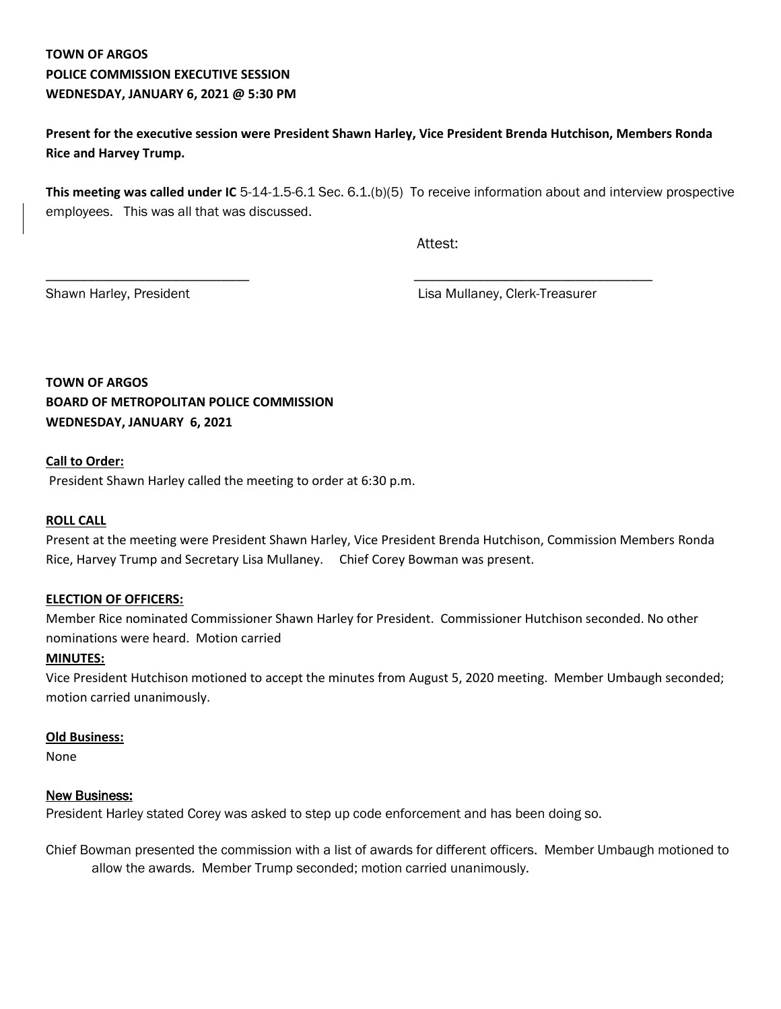# **TOWN OF ARGOS POLICE COMMISSION EXECUTIVE SESSION WEDNESDAY, JANUARY 6, 2021 @ 5:30 PM**

**Present for the executive session were President Shawn Harley, Vice President Brenda Hutchison, Members Ronda Rice and Harvey Trump.**

**This meeting was called under IC** 5-14-1.5-6.1 Sec. 6.1.(b)(5) To receive information about and interview prospective employees. This was all that was discussed.

\_\_\_\_\_\_\_\_\_\_\_\_\_\_\_\_\_\_\_\_\_\_\_\_\_\_\_\_\_ \_\_\_\_\_\_\_\_\_\_\_\_\_\_\_\_\_\_\_\_\_\_\_\_\_\_\_\_\_\_\_\_\_\_

Attest:

Shawn Harley, President **Lisa Mullaney, Clerk-Treasurer** 

**TOWN OF ARGOS BOARD OF METROPOLITAN POLICE COMMISSION WEDNESDAY, JANUARY 6, 2021**

## **Call to Order:**

President Shawn Harley called the meeting to order at 6:30 p.m.

#### **ROLL CALL**

Present at the meeting were President Shawn Harley, Vice President Brenda Hutchison, Commission Members Ronda Rice, Harvey Trump and Secretary Lisa Mullaney. Chief Corey Bowman was present.

#### **ELECTION OF OFFICERS:**

Member Rice nominated Commissioner Shawn Harley for President. Commissioner Hutchison seconded. No other nominations were heard. Motion carried

#### **MINUTES:**

Vice President Hutchison motioned to accept the minutes from August 5, 2020 meeting. Member Umbaugh seconded; motion carried unanimously.

## **Old Business:**

None

#### New Business:

President Harley stated Corey was asked to step up code enforcement and has been doing so.

Chief Bowman presented the commission with a list of awards for different officers. Member Umbaugh motioned to allow the awards. Member Trump seconded; motion carried unanimously.